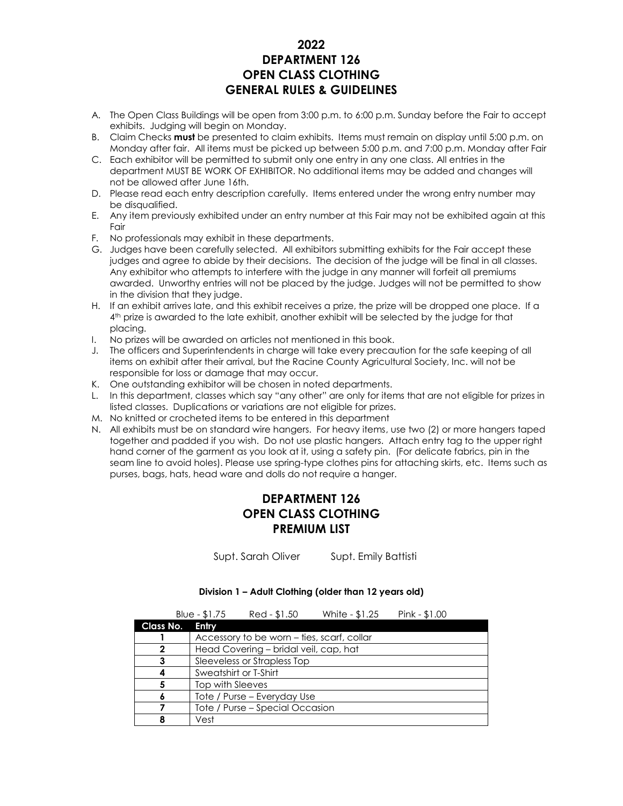### **2022 DEPARTMENT 126 OPEN CLASS CLOTHING GENERAL RULES & GUIDELINES**

- A. The Open Class Buildings will be open from 3:00 p.m. to 6:00 p.m. Sunday before the Fair to accept exhibits. Judging will begin on Monday.
- B. Claim Checks **must** be presented to claim exhibits. Items must remain on display until 5:00 p.m. on Monday after fair. All items must be picked up between 5:00 p.m. and 7:00 p.m. Monday after Fair
- C. Each exhibitor will be permitted to submit only one entry in any one class. All entries in the department MUST BE WORK OF EXHIBITOR. No additional items may be added and changes will not be allowed after June 16th.
- D. Please read each entry description carefully. Items entered under the wrong entry number may be disqualified.
- E. Any item previously exhibited under an entry number at this Fair may not be exhibited again at this Fair
- F. No professionals may exhibit in these departments.
- G. Judges have been carefully selected. All exhibitors submitting exhibits for the Fair accept these judges and agree to abide by their decisions. The decision of the judge will be final in all classes. Any exhibitor who attempts to interfere with the judge in any manner will forfeit all premiums awarded. Unworthy entries will not be placed by the judge. Judges will not be permitted to show in the division that they judge.
- H. If an exhibit arrives late, and this exhibit receives a prize, the prize will be dropped one place. If a 4 th prize is awarded to the late exhibit, another exhibit will be selected by the judge for that placing.
- I. No prizes will be awarded on articles not mentioned in this book.
- J. The officers and Superintendents in charge will take every precaution for the safe keeping of all items on exhibit after their arrival, but the Racine County Agricultural Society, Inc. will not be responsible for loss or damage that may occur.
- K. One outstanding exhibitor will be chosen in noted departments.
- L. In this department, classes which say "any other" are only for items that are not eligible for prizes in listed classes. Duplications or variations are not eligible for prizes.
- M. No knitted or crocheted items to be entered in this department
- N. All exhibits must be on standard wire hangers. For heavy items, use two (2) or more hangers taped together and padded if you wish. Do not use plastic hangers. Attach entry tag to the upper right hand corner of the garment as you look at it, using a safety pin. (For delicate fabrics, pin in the seam line to avoid holes). Please use spring-type clothes pins for attaching skirts, etc. Items such as purses, bags, hats, head ware and dolls do not require a hanger.

## **DEPARTMENT 126 OPEN CLASS CLOTHING PREMIUM LIST**

Supt. Sarah Oliver Supt. Emily Battisti

#### **Division 1 – Adult Clothing (older than 12 years old)**

|           | Blue - $$1.75$              | Red - \$1.50                               | White - \$1.25 | Pink - \$1.00 |  |
|-----------|-----------------------------|--------------------------------------------|----------------|---------------|--|
| Class No. | Entry                       |                                            |                |               |  |
|           |                             | Accessory to be worn – ties, scarf, collar |                |               |  |
|           |                             | Head Covering - bridal veil, cap, hat      |                |               |  |
| 3         | Sleeveless or Strapless Top |                                            |                |               |  |
|           | Sweatshirt or T-Shirt       |                                            |                |               |  |
| 5         | Top with Sleeves            |                                            |                |               |  |
| 6         | Tote / Purse – Everyday Use |                                            |                |               |  |
|           |                             | Tote / Purse - Special Occasion            |                |               |  |
|           | Vest                        |                                            |                |               |  |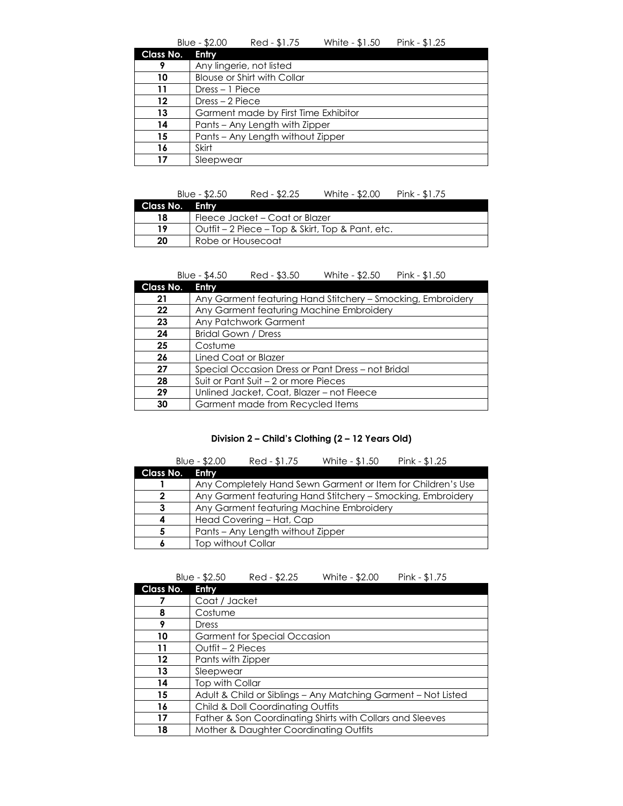|           | Blue - \$2.00                        | Red - \$1.75                       | White - \$1.50 | Pink - $$1.25$ |  |
|-----------|--------------------------------------|------------------------------------|----------------|----------------|--|
| Class No. | Entry                                |                                    |                |                |  |
| 9         |                                      | Any lingerie, not listed           |                |                |  |
| 10        |                                      | <b>Blouse or Shirt with Collar</b> |                |                |  |
| 11        | $Dress - 1 Piece$                    |                                    |                |                |  |
| 12        | Dress – 2 Piece                      |                                    |                |                |  |
| 13        | Garment made by First Time Exhibitor |                                    |                |                |  |
| 14        | Pants - Any Length with Zipper       |                                    |                |                |  |
| 15        | Pants - Any Length without Zipper    |                                    |                |                |  |
| 16        | Skirt                                |                                    |                |                |  |
| 17        | Sleepwear                            |                                    |                |                |  |

|                 | Blue - $$2.50$                                   | Red - \$2.25 | White - \$2.00 | Pink - $$1.75$ |
|-----------------|--------------------------------------------------|--------------|----------------|----------------|
| Class No. Entry |                                                  |              |                |                |
| 18              | Fleece Jacket – Coat or Blazer                   |              |                |                |
| 19              | Outfit – 2 Piece – Top & Skirt, Top & Pant, etc. |              |                |                |
| 20              | Robe or Housecoat                                |              |                |                |

|           | Blue - \$4.50                                     | Red - \$3.50                              | White - \$2.50                           | Pink - \$1.50                                               |
|-----------|---------------------------------------------------|-------------------------------------------|------------------------------------------|-------------------------------------------------------------|
| Class No. | <b>Entry</b>                                      |                                           |                                          |                                                             |
| 21        |                                                   |                                           |                                          | Any Garment featuring Hand Stitchery – Smocking, Embroidery |
| 22        |                                                   |                                           | Any Garment featuring Machine Embroidery |                                                             |
| 23        |                                                   | Any Patchwork Garment                     |                                          |                                                             |
| 24        | Bridal Gown / Dress                               |                                           |                                          |                                                             |
| 25        | Costume                                           |                                           |                                          |                                                             |
| 26        | Lined Coat or Blazer                              |                                           |                                          |                                                             |
| 27        | Special Occasion Dress or Pant Dress - not Bridal |                                           |                                          |                                                             |
| 28        | Suit or Pant Suit – 2 or more Pieces              |                                           |                                          |                                                             |
| 29        |                                                   | Unlined Jacket, Coat, Blazer - not Fleece |                                          |                                                             |
| 30        |                                                   | Garment made from Recycled Items          |                                          |                                                             |

#### **Division 2 – Child's Clothing (2 – 12 Years Old)**

|           | Blue - \$2.00                                               | Red - \$1.75 | White - \$1.50 | Pink - $$1.25$                                              |
|-----------|-------------------------------------------------------------|--------------|----------------|-------------------------------------------------------------|
| Class No. | Entry                                                       |              |                |                                                             |
|           |                                                             |              |                | Any Completely Hand Sewn Garment or Item for Children's Use |
| 2         | Any Garment featuring Hand Stitchery - Smocking, Embroidery |              |                |                                                             |
| 3         | Any Garment featuring Machine Embroidery                    |              |                |                                                             |
|           | Head Covering - Hat, Cap                                    |              |                |                                                             |
| 5         | Pants - Any Length without Zipper                           |              |                |                                                             |
|           | Top without Collar                                          |              |                |                                                             |

|           | Blue - \$2.50<br>Red - \$2.25<br>White - \$2.00<br>Pink - $$1.75$ |
|-----------|-------------------------------------------------------------------|
| Class No. | Entry                                                             |
|           | Coat / Jacket                                                     |
| 8         | Costume                                                           |
| 9         | Dress                                                             |
| 10        | <b>Garment for Special Occasion</b>                               |
| 11        | Outfit – 2 Pieces                                                 |
| 12        | Pants with Zipper                                                 |
| 13        | Sleepwear                                                         |
| 14        | Top with Collar                                                   |
| 15        | Adult & Child or Siblings – Any Matching Garment – Not Listed     |
| 16        | Child & Doll Coordinating Outfits                                 |
| 17        | Father & Son Coordinating Shirts with Collars and Sleeves         |
| 18        | Mother & Daughter Coordinating Outfits                            |